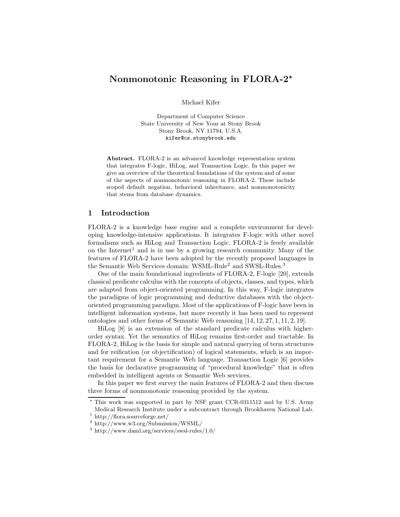# Nonmonotonic Reasoning in FLORA-2<sup>\*</sup>

Michael Kifer

Department of Computer Science State University of New Your at Stony Brook Stony Brook, NY 11794, U.S.A. kifer@cs.stonybrook.edu

Abstract. FLORA-2 is an advanced knowledge representation system that integrates F-logic, HiLog, and Transaction Logic. In this paper we give an overview of the theoretical foundations of the system and of some of the aspects of nonmonotonic reasoning in FLORA-2. These include scoped default negation, behavioral inheritance, and nonmonotonicity that stems from database dynamics.

#### 1 Introduction

FLORA-2 is a knowledge base engine and a complete environment for developing knowledge-intensive applications. It integrates F-logic with other novel formalisms such as HiLog and Transaction Logic. FLORA-2 is freely available on the Internet<sup>1</sup> and is in use by a growing research community. Many of the features of FLORA-2 have been adopted by the recently proposed languages in the Semantic Web Services domain: WSML-Rule<sup>2</sup> and SWSL-Rules.<sup>3</sup>

One of the main foundational ingredients of FLORA-2, F-logic [20], extends classical predicate calculus with the concepts of objects, classes, and types, which are adapted from object-oriented programming. In this way, F-logic integrates the paradigms of logic programming and deductive databases with the objectoriented programming paradigm. Most of the applications of F-logic have been in intelligent information systems, but more recently it has been used to represent ontologies and other forms of Semantic Web reasoning [14, 12, 27, 1, 11, 2, 19].

HiLog [8] is an extension of the standard predicate calculus with higherorder syntax. Yet the semantics of HiLog remains first-order and tractable. In FLORA-2, HiLog is the basis for simple and natural querying of term structures and for reification (or objectification) of logical statements, which is an important requirement for a Semantic Web language. Transaction Logic [6] provides the basis for declarative programming of "procedural knowledge" that is often embedded in intelligent agents or Semantic Web services.

In this paper we first survey the main features of FLORA-2 and then discuss three forms of nonmonotonic reasoning provided by the system.

<sup>?</sup> This work was supported in part by NSF grant CCR-0311512 and by U.S. Army Medical Research Institute under a subcontract through Brookhaven National Lab.

<sup>1</sup> http://flora.sourceforge.net/

<sup>2</sup> http://www.w3.org/Submission/WSML/

<sup>3</sup> http://www.daml.org/services/swsl-rules/1.0/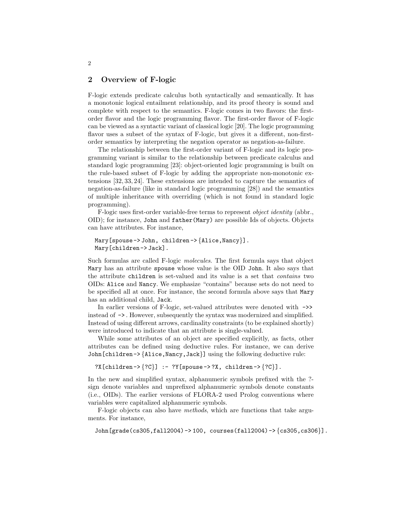# 2 Overview of F-logic

F-logic extends predicate calculus both syntactically and semantically. It has a monotonic logical entailment relationship, and its proof theory is sound and complete with respect to the semantics. F-logic comes in two flavors: the firstorder flavor and the logic programming flavor. The first-order flavor of F-logic can be viewed as a syntactic variant of classical logic [20]. The logic programming flavor uses a subset of the syntax of F-logic, but gives it a different, non-firstorder semantics by interpreting the negation operator as negation-as-failure.

The relationship between the first-order variant of F-logic and its logic programming variant is similar to the relationship between predicate calculus and standard logic programming [23]: object-oriented logic programming is built on the rule-based subset of F-logic by adding the appropriate non-monotonic extensions [32, 33, 24]. These extensions are intended to capture the semantics of negation-as-failure (like in standard logic programming [28]) and the semantics of multiple inheritance with overriding (which is not found in standard logic programming).

F-logic uses first-order variable-free terms to represent object identity (abbr., OID); for instance, John and father(Mary) are possible Ids of objects. Objects can have attributes. For instance,

```
Mary [spouse-> John, children-> {Alice, Nancy}].
Mary[children->Jack].
```
Such formulas are called F-logic molecules. The first formula says that object Mary has an attribute spouse whose value is the OID John. It also says that the attribute children is set-valued and its value is a set that contains two OIDs: Alice and Nancy. We emphasize "contains" because sets do not need to be specified all at once. For instance, the second formula above says that Mary has an additional child, Jack.

In earlier versions of F-logic, set-valued attributes were denoted with  $\rightarrow >$ instead of -> . However, subsequently the syntax was modernized and simplified. Instead of using different arrows, cardinality constraints (to be explained shortly) were introduced to indicate that an attribute is single-valued.

While some attributes of an object are specified explicitly, as facts, other attributes can be defined using deductive rules. For instance, we can derive John[children-> {Alice,Nancy,Jack}] using the following deductive rule:

```
?X[children->{?C}] :- ?Y[spouse->?X, children->{?C}].
```
In the new and simplified syntax, alphanumeric symbols prefixed with the ? sign denote variables and unprefixed alphanumeric symbols denote constants (i.e., OIDs). The earlier versions of FLORA-2 used Prolog conventions where variables were capitalized alphanumeric symbols.

F-logic objects can also have methods, which are functions that take arguments. For instance,

 $John[grade(cs305,fall2004) \rightarrow 100, courses(fall2004) \rightarrow {cs305, cs306}]$ .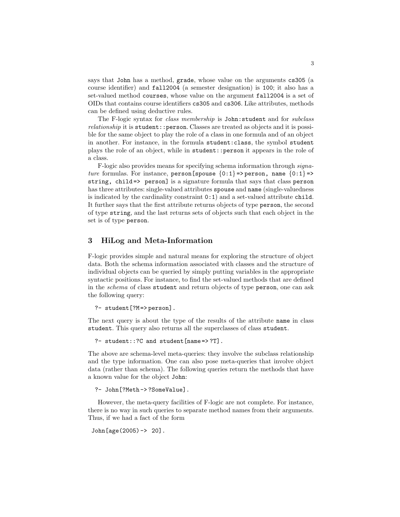says that John has a method, grade, whose value on the arguments cs305 (a course identifier) and fall2004 (a semester designation) is 100; it also has a set-valued method courses, whose value on the argument fall2004 is a set of OIDs that contains course identifiers cs305 and cs306. Like attributes, methods can be defined using deductive rules.

The F-logic syntax for *class membership* is John: student and for *subclass* relationship it is student::person. Classes are treated as objects and it is possible for the same object to play the role of a class in one formula and of an object in another. For instance, in the formula student:class, the symbol student plays the role of an object, while in student::person it appears in the role of a class.

F-logic also provides means for specifying schema information through signature formulas. For instance, person [spouse  $\{0:1\}$  => person, name  $\{0:1\}$  => string, child => person] is a signature formula that says that class person has three attributes: single-valued attributes spouse and name (single-valuedness is indicated by the cardinality constraint 0:1) and a set-valued attribute child. It further says that the first attribute returns objects of type person, the second of type string, and the last returns sets of objects such that each object in the set is of type person.

### 3 HiLog and Meta-Information

F-logic provides simple and natural means for exploring the structure of object data. Both the schema information associated with classes and the structure of individual objects can be queried by simply putting variables in the appropriate syntactic positions. For instance, to find the set-valued methods that are defined in the schema of class student and return objects of type person, one can ask the following query:

```
?- student[?M=> person].
```
The next query is about the type of the results of the attribute name in class student. This query also returns all the superclasses of class student.

```
?- student::?C and student[name=> ?T].
```
The above are schema-level meta-queries: they involve the subclass relationship and the type information. One can also pose meta-queries that involve object data (rather than schema). The following queries return the methods that have a known value for the object John:

?- John [?Meth->?SomeValue].

However, the meta-query facilities of F-logic are not complete. For instance, there is no way in such queries to separate method names from their arguments. Thus, if we had a fact of the form

```
John[age(2005)-> 20].
```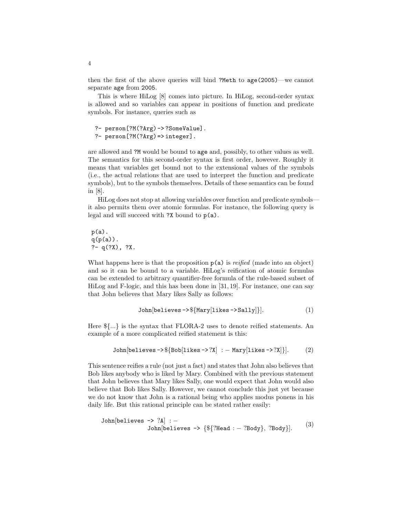then the first of the above queries will bind ?Meth to age(2005)—we cannot separate age from 2005.

This is where HiLog [8] comes into picture. In HiLog, second-order syntax is allowed and so variables can appear in positions of function and predicate symbols. For instance, queries such as

```
?- person[?M(?Arg) -> ?SomeValue].
?- person[?M(?Arg)=> integer].
```
are allowed and ?M would be bound to age and, possibly, to other values as well. The semantics for this second-order syntax is first order, however. Roughly it means that variables get bound not to the extensional values of the symbols (i.e., the actual relations that are used to interpret the function and predicate symbols), but to the symbols themselves. Details of these semantics can be found in [8].

HiLog does not stop at allowing variables over function and predicate symbols it also permits them over atomic formulas. For instance, the following query is legal and will succeed with ?X bound to p(a).

 $p(a)$ .  $q(p(a))$ . ?- q(?X), ?X.

What happens here is that the proposition  $p(a)$  is *reified* (made into an object) and so it can be bound to a variable. HiLog's reification of atomic formulas can be extended to arbitrary quantifier-free formula of the rule-based subset of HiLog and F-logic, and this has been done in [31, 19]. For instance, one can say that John believes that Mary likes Sally as follows:

$$
John[believes -> \{\text{Mary}[likes -> Sally]\}].\tag{1}
$$

Here \${...} is the syntax that FLORA-2 uses to denote reified statements. An example of a more complicated reified statement is this:

$$
John[believes -> \$(Bob[likes -> ?X] : - Mary[likes -> ?X]]].
$$
 (2)

This sentence reifies a rule (not just a fact) and states that John also believes that Bob likes anybody who is liked by Mary. Combined with the previous statement that John believes that Mary likes Sally, one would expect that John would also believe that Bob likes Sally. However, we cannot conclude this just yet because we do not know that John is a rational being who applies modus ponens in his daily life. But this rational principle can be stated rather easily:

John[believes 
$$
\rightarrow
$$
 ?A] :-  
John[believes  $\rightarrow$  { $\{\text{?Head} : - \text{?Body}\}, \text{?Body}\}.$  (3)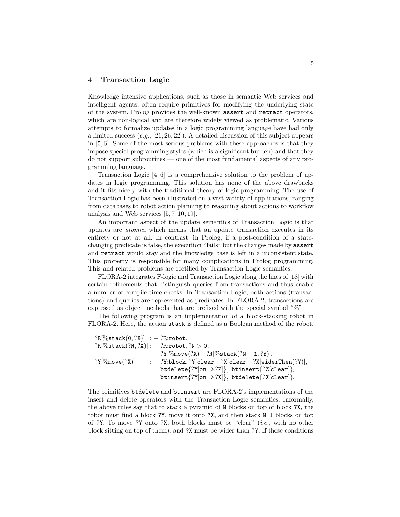#### 4 Transaction Logic

Knowledge intensive applications, such as those in semantic Web services and intelligent agents, often require primitives for modifying the underlying state of the system. Prolog provides the well-known assert and retract operators, which are non-logical and are therefore widely viewed as problematic. Various attempts to formalize updates in a logic programming language have had only a limited success  $(e.g., [21, 26, 22])$ . A detailed discussion of this subject appears in [5, 6]. Some of the most serious problems with these approaches is that they impose special programming styles (which is a significant burden) and that they do not support subroutines — one of the most fundamental aspects of any programming language.

Transaction Logic [4–6] is a comprehensive solution to the problem of updates in logic programming. This solution has none of the above drawbacks and it fits nicely with the traditional theory of logic programming. The use of Transaction Logic has been illustrated on a vast variety of applications, ranging from databases to robot action planning to reasoning about actions to workflow analysis and Web services [5, 7, 10, 19].

An important aspect of the update semantics of Transaction Logic is that updates are atomic, which means that an update transaction executes in its entirety or not at all. In contrast, in Prolog, if a post-condition of a statechanging predicate is false, the execution "fails" but the changes made by assert and retract would stay and the knowledge base is left in a inconsistent state. This property is responsible for many complications in Prolog programming. This and related problems are rectified by Transaction Logic semantics.

FLORA-2 integrates F-logic and Transaction Logic along the lines of [18] with certain refinements that distinguish queries from transactions and thus enable a number of compile-time checks. In Transaction Logic, both actions (transactions) and queries are represented as predicates. In FLORA-2, transactions are expressed as object methods that are prefixed with the special symbol "%".

The following program is an implementation of a block-stacking robot in FLORA-2. Here, the action stack is defined as a Boolean method of the robot.

 $?R[\%stack(0, ?X)] := ?R:robot.$  $?R[\%stack(?N, ?X)] : - ?R:robot, ?N > 0,$  $?Y[\%move(?X)], ?R[\%stack(?N-1, ?Y)].$  $?Y[\%move(?X)] = ?Y:block, ?Y[clear], ?X[clear], ?X[waterThen(?Y)],$ btdelete{?Y[on ->?Z]}, btinsert{?Z[clear]}, btinsert $\{?Y[\text{on} \rightarrow ?X]\},$  btdelete $\{?X[\text{clear}]\}.$ 

The primitives btdelete and btinsert are FLORA-2's implementations of the insert and delete operators with the Transaction Logic semantics. Informally, the above rules say that to stack a pyramid of N blocks on top of block ?X, the robot must find a block ?Y, move it onto ?X, and then stack N-1 blocks on top of ?Y. To move ?Y onto ?X, both blocks must be "clear" (*i.e.*, with no other block sitting on top of them), and ?X must be wider than ?Y. If these conditions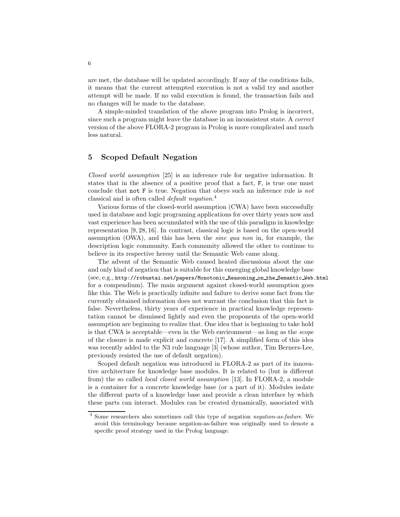are met, the database will be updated accordingly. If any of the conditions fails, it means that the current attempted execution is not a valid try and another attempt will be made. If no valid execution is found, the transaction fails and no changes will be made to the database.

A simple-minded translation of the above program into Prolog is incorrect, since such a program might leave the database in an inconsistent state. A correct version of the above FLORA-2 program in Prolog is more complicated and much less natural.

#### 5 Scoped Default Negation

Closed world assumption [25] is an inference rule for negative information. It states that in the absence of a positive proof that a fact, F, is true one must conclude that not F is true. Negation that obeys such an inference rule is not classical and is often called *default negation*.<sup>4</sup>

Various forms of the closed-world assumption (CWA) have been successfully used in database and logic programing applications for over thirty years now and vast experience has been accumulated with the use of this paradigm in knowledge representation [9, 28, 16]. In contrast, classical logic is based on the open-world assumption (OWA), and this has been the sine qua non in, for example, the description logic community. Each community allowed the other to continue to believe in its respective heresy until the Semantic Web came along.

The advent of the Semantic Web caused heated discussions about the one and only kind of negation that is suitable for this emerging global knowledge base (see, e.g., http://robustai.net/papers/Monotonic Reasoning on the Semantic Web.html for a compendium). The main argument against closed-world assumption goes like this. The Web is practically infinite and failure to derive some fact from the currently obtained information does not warrant the conclusion that this fact is false. Nevertheless, thirty years of experience in practical knowledge representation cannot be dismissed lightly and even the proponents of the open-world assumption are beginning to realize that. One idea that is beginning to take hold is that CWA is acceptable—even in the Web environment—as long as the scope of the closure is made explicit and concrete [17]. A simplified form of this idea was recently added to the N3 rule language [3] (whose author, Tim Berners-Lee, previously resisted the use of default negation).

Scoped default negation was introduced in FLORA-2 as part of its innovative architecture for knowledge base modules. It is related to (but is different from) the so called local closed world assumption [13]. In FLORA-2, a module is a container for a concrete knowledge base (or a part of it). Modules isolate the different parts of a knowledge base and provide a clean interface by which these parts can interact. Modules can be created dynamically, associated with

<sup>4</sup> Some researchers also sometimes call this type of negation negation-as-failure. We avoid this terminology because negation-as-failure was originally used to denote a specific proof strategy used in the Prolog language.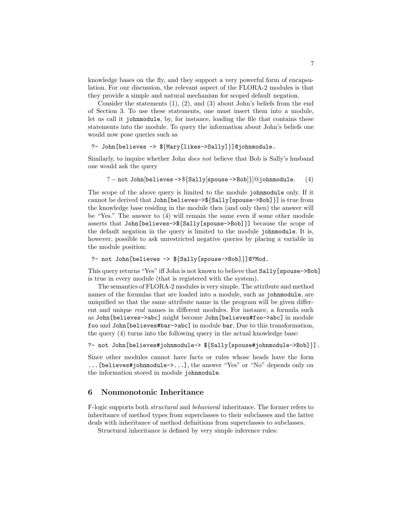knowledge bases on the fly, and they support a very powerful form of encapsulation. For our discussion, the relevant aspect of the FLORA-2 modules is that they provide a simple and natural mechanism for scoped default negation.

Consider the statements (1), (2), and (3) about John's beliefs from the end of Section 3. To use these statements, one must insert them into a module, let us call it johnmodule, by, for instance, loading the file that contains these statements into the module. To query the information about John's beliefs one would now pose queries such as

#### ?- John[believes -> \${Mary[likes->Sally]}]@johnmodule.

Similarly, to inquire whether John does not believe that Bob is Sally's husband one would ask the query

```
? − not John[believes ->${Sally[spouse ->Bob]}]@johnmodule. (4)
```
The scope of the above query is limited to the module johnmodule only. If it cannot be derived that John[believes->\${Sally[spouse->Bob]}] is true from the knowledge base residing in the module then (and only then) the answer will be "Yes." The answer to (4) will remain the same even if some other module asserts that John[believes->\${Sally[spouse->Bob]}] because the scope of the default negation in the query is limited to the module johnmodule. It is, however, possible to ask unrestricted negative queries by placing a variable in the module position:

```
?- not John[believes -> ${Sally[spouse->Bob]}]@?Mod.
```
This query returns "Yes" iff John is not known to believe that Sally[spouse->Bob] is true in every module (that is registered with the system).

The semantics of FLORA-2 modules is very simple. The attribute and method names of the formulas that are loaded into a module, such as johnmodule, are uniquified so that the same attribute name in the program will be given different and unique real names in different modules. For instance, a formula such as John[believes->abc] might become John[believes#foo->abc] in module foo and John[believes#bar->abc] in module bar. Due to this transformation, the query (4) turns into the following query in the actual knowledge base:

```
?- not John[believes#johnmodule-> ${Sally[spouse#johnmodule->Bob]}].
```
Since other modules cannot have facts or rules whose heads have the form ...[believes#johnmodule->...], the answer "Yes" or "No" depends only on the information stored in module johnmodule.

### 6 Nonmonotonic Inheritance

F-logic supports both structural and behavioral inheritance. The former refers to inheritance of method types from superclasses to their subclasses and the latter deals with inheritance of method definitions from superclasses to subclasses.

Structural inheritance is defined by very simple inference rules: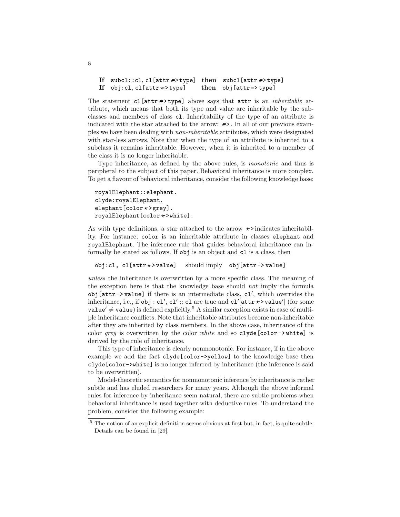```
If subcl::cl, cl[attr \ne>type] then subcl[attr \ne>type]
If obj:cl, cl[attr \ne>type] then obj[attr =>type]
```
The statement cl[attr  $\neq$ >type] above says that attr is an *inheritable* attribute, which means that both its type and value are inheritable by the subclasses and members of class cl. Inheritability of the type of an attribute is indicated with the star attached to the arrow:  $\neq$ . In all of our previous examples we have been dealing with non-inheritable attributes, which were designated with star-less arrows. Note that when the type of an attribute is inherited to a subclass it remains inheritable. However, when it is inherited to a member of the class it is no longer inheritable.

Type inheritance, as defined by the above rules, is *monotonic* and thus is peripheral to the subject of this paper. Behavioral inheritance is more complex. To get a flavour of behavioral inheritance, consider the following knowledge base:

```
royalElephant::elephant.
clyde:royalElephant.
elephant [color \leftarrow \leftarrow \leftarrowgrey].
royalElephant[color*{red}{\text{color}}\star\text{>white}].
```
As with type definitions, a star attached to the arrow  $\star$ > indicates inheritability. For instance, color is an inheritable attribute in classes elephant and royalElephant. The inference rule that guides behavioral inheritance can informally be stated as follows. If obj is an object and cl is a class, then

```
obj:cl, cl[attr \star > value] should imply obj[attr->value]
```
unless the inheritance is overwritten by a more specific class. The meaning of the exception here is that the knowledge base should not imply the formula  $obj[attr->value]$  if there is an intermediate class,  $c1'$ , which overrides the inheritance, i.e., if  $obj : cl', cl' :: cl$  are true and  $cl'[attr \star > value']$  (for some value'  $\neq$  value) is defined explicitly.<sup>5</sup> A similar exception exists in case of multiple inheritance conflicts. Note that inheritable attributes become non-inheritable after they are inherited by class members. In the above case, inheritance of the color grey is overwritten by the color white and so clyde[color->white] is derived by the rule of inheritance.

This type of inheritance is clearly nonmonotonic. For instance, if in the above example we add the fact clyde[color->yellow] to the knowledge base then clyde[color->white] is no longer inferred by inheritance (the inference is said to be overwritten).

Model-theoretic semantics for nonmonotonic inference by inheritance is rather subtle and has eluded researchers for many years. Although the above informal rules for inference by inheritance seem natural, there are subtle problems when behavioral inheritance is used together with deductive rules. To understand the problem, consider the following example:

8

 $5$  The notion of an explicit definition seems obvious at first but, in fact, is quite subtle. Details can be found in [29].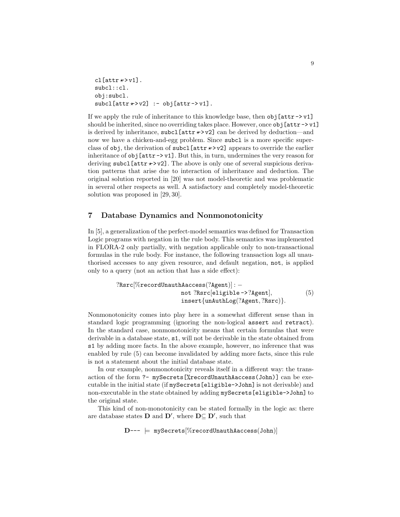```
cl[attr \star > v1].subcl::cl.
obj:subcl.
subcl[attr \rightarrow >v2] :- obj[attr->v1].
```
If we apply the rule of inheritance to this knowledge base, then  $obj[attr->v1]$ should be inherited, since no overriding takes place. However, once  $\delta$  [attr -> v1] is derived by inheritance, subcl[attr  $\star$ >v2] can be derived by deduction—and now we have a chicken-and-egg problem. Since subcl is a more specific superclass of  $obj$ , the derivation of subcl[attr  $\star$ >v2] appears to override the earlier inheritance of  $obj[attr \rightarrow v1]$ . But this, in turn, undermines the very reason for deriving subcl  $[\text{attr} \star > v^2]$ . The above is only one of several suspicious derivation patterns that arise due to interaction of inheritance and deduction. The original solution reported in [20] was not model-theoretic and was problematic in several other respects as well. A satisfactory and completely model-theoretic solution was proposed in [29, 30].

### 7 Database Dynamics and Nonmonotonicity

In [5], a generalization of the perfect-model semantics was defined for Transaction Logic programs with negation in the rule body. This semantics was implemented in FLORA-2 only partially, with negation applicable only to non-transactional formulas in the rule body. For instance, the following transaction logs all unauthorised accesses to any given resource, and default negation, not, is applied only to a query (not an action that has a side effect):

$$
?Rsrc[\% recordUnauthAaccess(?Agent)]: -
$$
\n
$$
not ?Rsrc[eligible ->?Agent],
$$
\n
$$
insert{unAuthor2} (?Agent, ?Rsrc)).
$$
\n(5)

Nonmonotonicity comes into play here in a somewhat different sense than in standard logic programming (ignoring the non-logical assert and retract). In the standard case, nonmonotonicity means that certain formulas that were derivable in a database state, s1, will not be derivable in the state obtained from s1 by adding more facts. In the above example, however, no inference that was enabled by rule (5) can become invalidated by adding more facts, since this rule is not a statement about the initial database state.

In our example, nonmonotonicity reveals itself in a different way: the transaction of the form ?- mySecrets[%recordUnauthAaccess(John)] can be executable in the initial state (if mySecrets[eligible->John] is not derivable) and non-executable in the state obtained by adding mySecrets[eligible->John] to the original state.

This kind of non-monotonicity can be stated formally in the logic as: there are database states **D** and **D'**, where **D** $\subseteq$  **D'**, such that

 $D-- \models$  mySecrets[%recordUnauthAaccess(John)]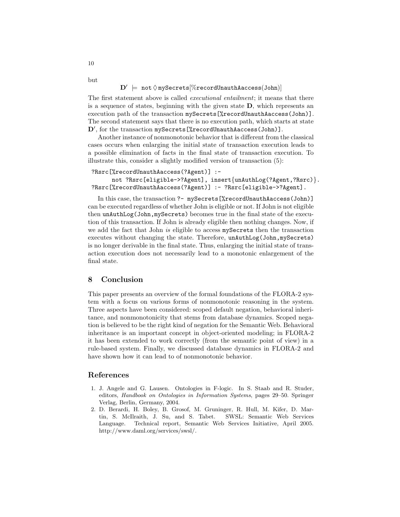$\mathbf{D}'~\models~\mathtt{not}\,\lozenge\mathtt{mySecrets}[\% \mathtt{recordUnauthAaccess}(\mathtt{John})]$ 

The first statement above is called *executional entailment*; it means that there is a sequence of states, beginning with the given state D, which represents an execution path of the transaction mySecrets[%recordUnauthAaccess(John)]. The second statement says that there is no execution path, which starts at state D', for the transaction mySecrets[%recordUnauthAaccess(John)].

Another instance of nonmonotonic behavior that is different from the classical cases occurs when enlarging the initial state of transaction execution leads to a possible elimination of facts in the final state of transaction execution. To illustrate this, consider a slightly modified version of transaction (5):

```
?Rsrc[%recordUnauthAaccess(?Agent)] :-
      not ?Rsrc[eligible->?Agent], insert{unAuthLog(?Agent,?Rsrc)}.
?Rsrc[%recordUnauthAaccess(?Agent)] :- ?Rsrc[eligible->?Agent].
```
In this case, the transaction ?- mySecrets[%recordUnauthAaccess(John)] can be executed regardless of whether John is eligible or not. If John is not eligible then unAuthLog(John, mySecrets) becomes true in the final state of the execution of this transaction. If John is already eligible then nothing changes. Now, if we add the fact that John is eligible to access mySecrets then the transaction executes without changing the state. Therefore, unAuthLog(John,mySecrets) is no longer derivable in the final state. Thus, enlarging the initial state of transaction execution does not necessarily lead to a monotonic enlargement of the final state.

# 8 Conclusion

This paper presents an overview of the formal foundations of the FLORA-2 system with a focus on various forms of nonmonotonic reasoning in the system. Three aspects have been considered: scoped default negation, behavioral inheritance, and nonmonotonicity that stems from database dynamics. Scoped negation is believed to be the right kind of negation for the Semantic Web. Behavioral inheritance is an important concept in object-oriented modeling; in FLORA-2 it has been extended to work correctly (from the semantic point of view) in a rule-based system. Finally, we discussed database dynamics in FLORA-2 and have shown how it can lead to of nonmonotonic behavior.

# References

- 1. J. Angele and G. Lausen. Ontologies in F-logic. In S. Staab and R. Studer, editors, Handbook on Ontologies in Information Systems, pages 29–50. Springer Verlag, Berlin, Germany, 2004.
- 2. D. Berardi, H. Boley, B. Grosof, M. Gruninger, R. Hull, M. Kifer, D. Martin, S. McIlraith, J. Su, and S. Tabet. SWSL: Semantic Web Services Language. Technical report, Semantic Web Services Initiative, April 2005. http://www.daml.org/services/swsl/.

10

but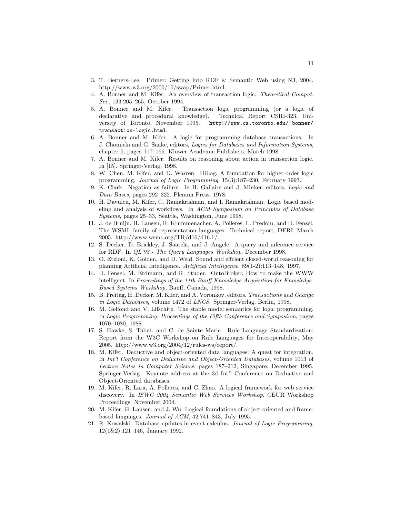- 3. T. Berners-Lee. Primer: Getting into RDF & Semantic Web using N3, 2004. http://www.w3.org/2000/10/swap/Primer.html.
- 4. A. Bonner and M. Kifer. An overview of transaction logic. Theoretical Comput. Sci., 133:205–265, October 1994.
- 5. A. Bonner and M. Kifer. Transaction logic programming (or a logic of declarative and procedural knowledge). Technical Report CSRI-323, University of Toronto, November 1995. http://www.cs.toronto.edu/˜bonner/ transaction-logic.html.
- 6. A. Bonner and M. Kifer. A logic for programming database transactions. In J. Chomicki and G. Saake, editors, Logics for Databases and Information Systems, chapter 5, pages 117–166. Kluwer Academic Publishers, March 1998.
- 7. A. Bonner and M. Kifer. Results on reasoning about action in transaction logic. In [15]. Springer-Verlag, 1998.
- 8. W. Chen, M. Kifer, and D. Warren. HiLog: A foundation for higher-order logic programming. Journal of Logic Programming, 15(3):187–230, February 1993.
- 9. K. Clark. Negation as failure. In H. Gallaire and J. Minker, editors, Logic and Data Bases, pages 292–322. Plenum Press, 1978.
- 10. H. Davulcu, M. Kifer, C. Ramakrishnan, and I. Ramakrishnan. Logic based modeling and analysis of workflows. In ACM Symposium on Principles of Database Systems, pages 25–33, Seattle, Washington, June 1998.
- 11. J. de Bruijn, H. Lausen, R. Krummenacher, A. Polleres, L. Predoiu, and D. Fensel. The WSML family of representation languages. Technical report, DERI, March 2005. http://www.wsmo.org/TR/d16/d16.1/.
- 12. S. Decker, D. Brickley, J. Saarela, and J. Angele. A query and inference service for RDF. In QL'98 - The Query Languages Workshop, December 1998.
- 13. O. Etzioni, K. Golden, and D. Weld. Sound and effcient closed-world reasoning for planning Artificial Intelligence. Artificial Intelligence, 89(1-2):113–148, 1997.
- 14. D. Fensel, M. Erdmann, and R. Studer. OntoBroker: How to make the WWW intelligent. In Proceedings of the 11th Banff Knowledge Acquisition for Knowledge-Based Systems Workshop, Banff, Canada, 1998.
- 15. B. Freitag, H. Decker, M. Kifer, and A. Voronkov, editors. Transactions and Change in Logic Databases, volume 1472 of LNCS. Springer-Verlag, Berlin, 1998.
- 16. M. Gelfond and V. Lifschitz. The stable model semantics for logic programming. In Logic Programming: Proceedings of the Fifth Conference and Symposium, pages 1070–1080, 1988.
- 17. S. Hawke, S. Tabet, and C. de Sainte Marie. Rule Language Standardization: Report from the W3C Workshop on Rule Languages for Interoperability, May 2005. http://www.w3.org/2004/12/rules-ws/report/.
- 18. M. Kifer. Deductive and object-oriented data languages: A quest for integration. In Int'l Conference on Deductive and Object-Oriented Databases, volume 1013 of Lecture Notes in Computer Science, pages 187–212, Singapore, December 1995. Springer-Verlag. Keynote address at the 3d Int'l Conference on Deductive and Object-Oriented databases.
- 19. M. Kifer, R. Lara, A. Polleres, and C. Zhao. A logical framework for web service discovery. In ISWC 2004 Semantic Web Services Workshop. CEUR Workshop Proceedings, November 2004.
- 20. M. Kifer, G. Lausen, and J. Wu. Logical foundations of object-oriented and framebased languages. Journal of ACM, 42:741–843, July 1995.
- 21. R. Kowalski. Database updates in event calculus. Journal of Logic Programming, 12(1&2):121–146, January 1992.